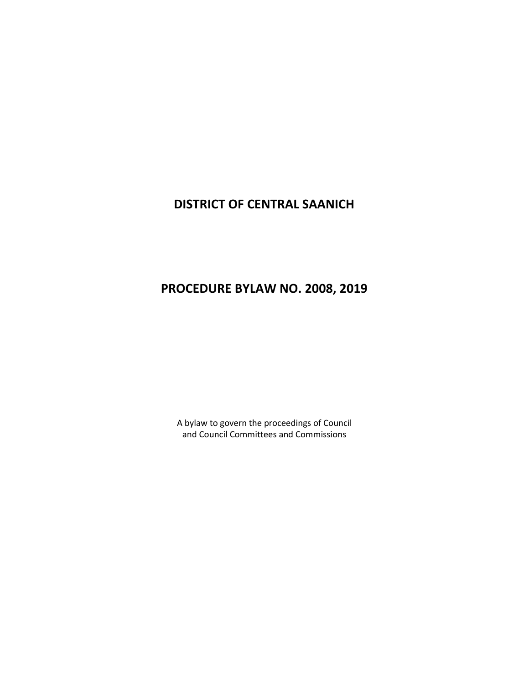# **DISTRICT OF CENTRAL SAANICH**

# **PROCEDURE BYLAW NO. 2008, 2019**

A bylaw to govern the proceedings of Council and Council Committees and Commissions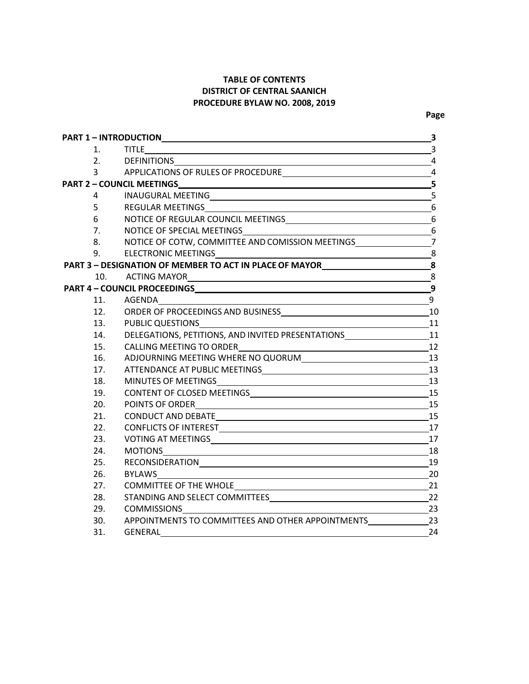# **TABLE OF CONTENTS DISTRICT OF CENTRAL SAANICH PROCEDURE BYLAW NO. 2008, 2019**

|                               | PART 1 - INTRODUCTIONNALL AND THE RESERVE TO A RESERVE THE RESERVE TO A RESERVE THE RESERVE THAT A RESERVE THE                       | $\overline{\mathbf{3}}$ |
|-------------------------------|--------------------------------------------------------------------------------------------------------------------------------------|-------------------------|
| $1_{-}$                       | <b>TITLE</b><br>3                                                                                                                    |                         |
| 2.                            | DEFINITIONS 4                                                                                                                        |                         |
| $\overline{3}$ $\overline{3}$ |                                                                                                                                      |                         |
|                               |                                                                                                                                      | $\overline{\mathbf{5}}$ |
| $4\degree$                    |                                                                                                                                      | 5                       |
| 5 <sup>1</sup>                |                                                                                                                                      | 6                       |
| 6                             |                                                                                                                                      |                         |
| 7.                            |                                                                                                                                      |                         |
| 8.                            | NOTICE OF COTW, COMMITTEE AND COMISSION MEETINGS_________________________________                                                    |                         |
| 9.                            |                                                                                                                                      |                         |
|                               | PART 3 - DESIGNATION OF MEMBER TO ACT IN PLACE OF MAYOR__________________________8                                                   |                         |
|                               | 10. ACTING MAYOR<br>8                                                                                                                |                         |
|                               |                                                                                                                                      | $\overline{9}$          |
|                               | 11. AGENDA<br><u> 1989 - Johann Stoff, deutscher Stoffen und der Stoffen und der Stoffen und der Stoffen und der Stoffen und der</u> | $\boldsymbol{9}$        |
|                               |                                                                                                                                      |                         |
| 13.                           | $\overline{\phantom{a}11}$<br>PUBLIC QUESTIONS <b>FULL ASSESS</b>                                                                    |                         |
| 14.                           | DELEGATIONS, PETITIONS, AND INVITED PRESENTATIONS ______________________________11                                                   |                         |
| 15.                           | CALLING MEETING TO ORDER<br>12                                                                                                       |                         |
| 16.                           |                                                                                                                                      |                         |
| 17.                           |                                                                                                                                      |                         |
| 18.                           |                                                                                                                                      |                         |
| 19.                           |                                                                                                                                      |                         |
| 20.                           |                                                                                                                                      |                         |
| 21.                           |                                                                                                                                      |                         |
| 22.                           |                                                                                                                                      |                         |
| 23.                           |                                                                                                                                      | 17                      |
| 24.                           |                                                                                                                                      | 18                      |
| 25.                           | RECONSIDERATIONNALLY AND ACCOMMENDATION                                                                                              | 19                      |
| 26.                           | <b>BYLAWS</b>                                                                                                                        | 20                      |
| 27.                           |                                                                                                                                      | 21                      |
| 28.                           |                                                                                                                                      |                         |
| 29.                           |                                                                                                                                      | $\frac{1}{23}$ 23       |
| 30.                           | APPOINTMENTS TO COMMITTEES AND OTHER APPOINTMENTS 23                                                                                 |                         |
| 31.                           | <b>GENERAL</b>                                                                                                                       | 24                      |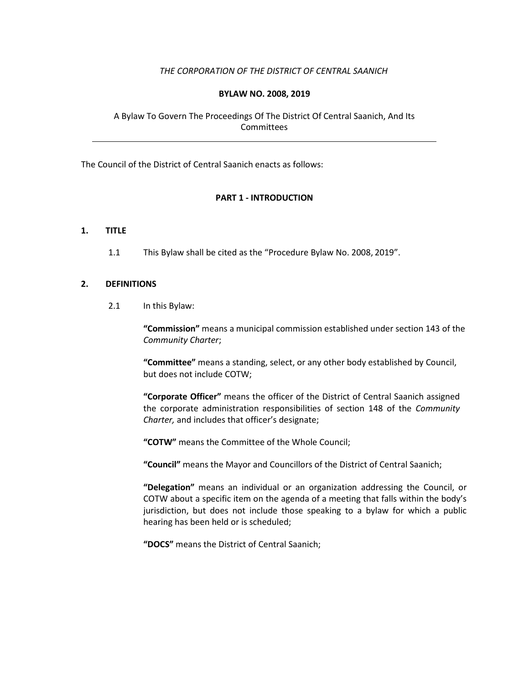# *THE CORPORATION OF THE DISTRICT OF CENTRAL SAANICH*

# **BYLAW NO. 2008, 2019**

# A Bylaw To Govern The Proceedings Of The District Of Central Saanich, And Its **Committees**

The Council of the District of Central Saanich enacts as follows:

# **PART 1 - INTRODUCTION**

## **1. TITLE**

1.1 This Bylaw shall be cited as the "Procedure Bylaw No. 2008, 2019".

#### **2. DEFINITIONS**

2.1 In this Bylaw:

**"Commission"** means a municipal commission established under section 143 of the *Community Charter*;

**"Committee"** means a standing, select, or any other body established by Council, but does not include COTW;

**"Corporate Officer"** means the officer of the District of Central Saanich assigned the corporate administration responsibilities of section 148 of the *Community Charter,* and includes that officer's designate;

**"COTW"** means the Committee of the Whole Council;

**"Council"** means the Mayor and Councillors of the District of Central Saanich;

**"Delegation"** means an individual or an organization addressing the Council, or COTW about a specific item on the agenda of a meeting that falls within the body's jurisdiction, but does not include those speaking to a bylaw for which a public hearing has been held or is scheduled;

**"DOCS"** means the District of Central Saanich;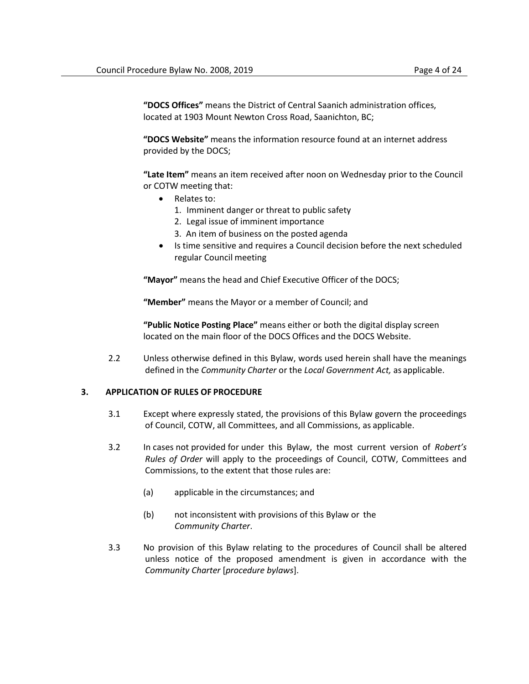**"DOCS Offices"** means the District of Central Saanich administration offices, located at 1903 Mount Newton Cross Road, Saanichton, BC;

**"DOCS Website"** means the information resource found at an internet address provided by the DOCS;

**"Late Item"** means an item received after noon on Wednesday prior to the Council or COTW meeting that:

- Relates to:
	- 1. Imminent danger or threat to public safety
	- 2. Legal issue of imminent importance
	- 3. An item of business on the posted agenda
- Is time sensitive and requires a Council decision before the next scheduled regular Council meeting

**"Mayor"** means the head and Chief Executive Officer of the DOCS;

**"Member"** means the Mayor or a member of Council; and

**"Public Notice Posting Place"** means either or both the digital display screen located on the main floor of the DOCS Offices and the DOCS Website.

2.2 Unless otherwise defined in this Bylaw, words used herein shall have the meanings defined in the *Community Charter* or the *Local Government Act,* as applicable.

## **3. APPLICATION OF RULES OF PROCEDURE**

- 3.1 Except where expressly stated, the provisions of this Bylaw govern the proceedings of Council, COTW, all Committees, and all Commissions, as applicable.
- 3.2 In cases not provided for under this Bylaw, the most current version of *Robert's Rules of Order* will apply to the proceedings of Council, COTW, Committees and Commissions, to the extent that those rules are:
	- (a) applicable in the circumstances; and
	- (b) not inconsistent with provisions of this Bylaw or the *Community Charter*.
- 3.3 No provision of this Bylaw relating to the procedures of Council shall be altered unless notice of the proposed amendment is given in accordance with the *Community Charter* [*procedure bylaws*].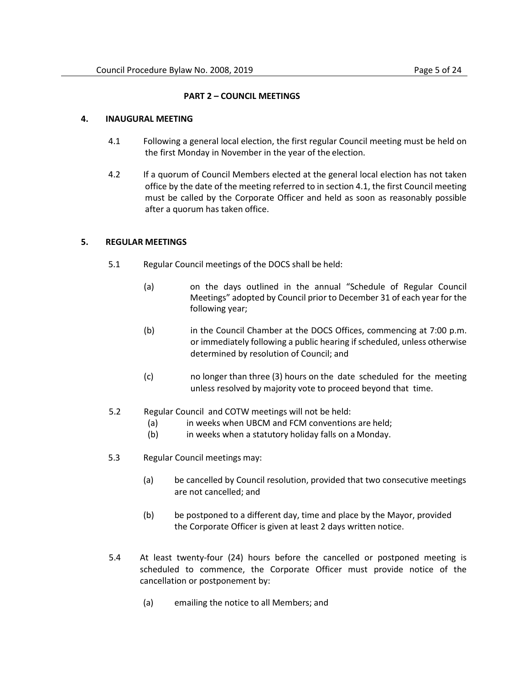## **PART 2 – COUNCIL MEETINGS**

#### <span id="page-4-0"></span>**4. INAUGURAL MEETING**

- 4.1 Following a general local election, the first regular Council meeting must be held on the first Monday in November in the year of the election.
- 4.2 If a quorum of Council Members elected at the general local election has not taken office by the date of the meeting referred to in section 4.1, the first Council meeting must be called by the Corporate Officer and held as soon as reasonably possible after a quorum has taken office.

## **5. REGULAR MEETINGS**

- 5.1 Regular Council meetings of the DOCS shall be held:
	- (a) on the days outlined in the annual "Schedule of Regular Council Meetings" adopted by Council prior to December 31 of each year for the following year;
	- (b) in the Council Chamber at the DOCS Offices, commencing at 7:00 p.m. or immediately following a public hearing if scheduled, unless otherwise determined by resolution of Council; and
	- (c) no longer than three (3) hours on the date scheduled for the meeting unless resolved by majority vote to proceed beyond that time.
- 5.2 Regular Council and COTW meetings will not be held:
	- (a) in weeks when UBCM and FCM conventions are held;
	- (b) in weeks when a statutory holiday falls on a Monday.
- 5.3 Regular Council meetings may:
	- (a) be cancelled by Council resolution, provided that two consecutive meetings are not cancelled; and
	- (b) be postponed to a different day, time and place by the Mayor, provided the Corporate Officer is given at least 2 days written notice.
- 5.4 At least twenty-four (24) hours before the cancelled or postponed meeting is scheduled to commence, the Corporate Officer must provide notice of the cancellation or postponement by:
	- (a) emailing the notice to all Members; and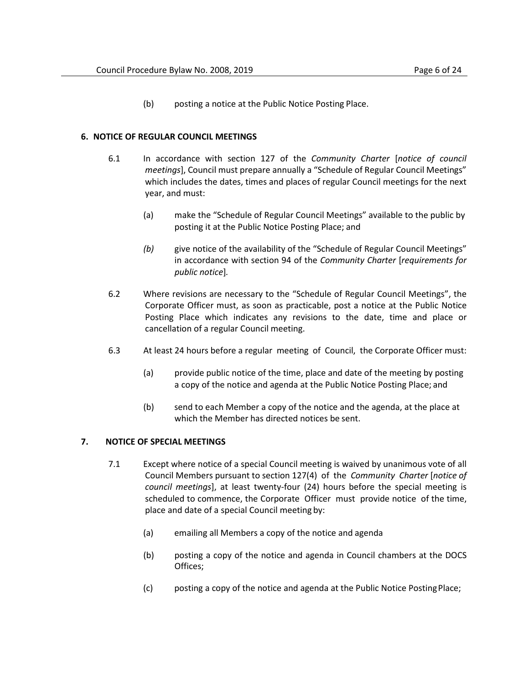(b) posting a notice at the Public Notice Posting Place.

## <span id="page-5-1"></span>**6. NOTICE OF REGULAR COUNCIL MEETINGS**

- 6.1 In accordance with section 127 of the *Community Charter* [*notice of council meetings*], Council must prepare annually a "Schedule of Regular Council Meetings" which includes the dates, times and places of regular Council meetings for the next year, and must:
	- (a) make the "Schedule of Regular Council Meetings" available to the public by posting it at the Public Notice Posting Place; and
	- *(b)* give notice of the availability of the "Schedule of Regular Council Meetings" in accordance with section 94 of the *Community Charter* [*requirements for public notice*]*.*
- 6.2 Where revisions are necessary to the "Schedule of Regular Council Meetings", the Corporate Officer must, as soon as practicable, post a notice at the Public Notice Posting Place which indicates any revisions to the date, time and place or cancellation of a regular Council meeting.
- 6.3 At least 24 hours before a regular meeting of Council, the Corporate Officer must:
	- (a) provide public notice of the time, place and date of the meeting by posting a copy of the notice and agenda at the Public Notice Posting Place; and
	- (b) send to each Member a copy of the notice and the agenda, at the place at which the Member has directed notices be sent.

# <span id="page-5-2"></span><span id="page-5-0"></span>**7. NOTICE OF SPECIAL MEETINGS**

- 7.1 Except where notice of a special Council meeting is waived by unanimous vote of all Council Members pursuant to section 127(4) of the *Community Charter* [*notice of council meetings*], at least twenty-four (24) hours before the special meeting is scheduled to commence, the Corporate Officer must provide notice of the time, place and date of a special Council meeting by:
	- (a) emailing all Members a copy of the notice and agenda
	- (b) posting a copy of the notice and agenda in Council chambers at the DOCS Offices;
	- (c) posting a copy of the notice and agenda at the Public Notice PostingPlace;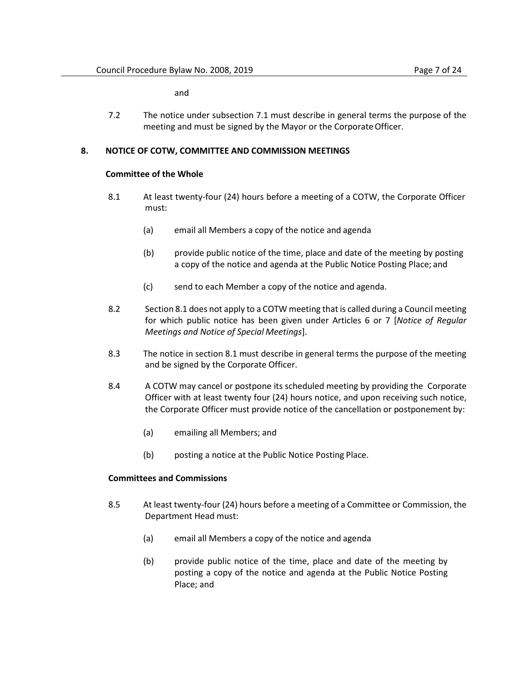and

7.2 The notice under sub[section 7.1 m](#page-5-0)ust describe in general terms the purpose of the meeting and must be signed by the Mayor or the Corporate Officer.

#### <span id="page-6-0"></span>**8. NOTICE OF COTW, COMMITTEE AND COMMISSION MEETINGS**

#### **Committee of the Whole**

- 8.1 At least twenty-four (24) hours before a meeting of a COTW, the Corporate Officer must:
	- (a) email all Members a copy of the notice and agenda
	- (b) provide public notice of the time, place and date of the meeting by posting a copy of the notice and agenda at the Public Notice Posting Place; and
	- (c) send to each Member a copy of the notice and agenda.
- 8.2 Sectio[n 8.1](#page-6-0) does not apply to a COTW meeting that is called during a Council meeting for which public notice has been given under Articles [6](#page-5-1) or [7](#page-5-2) [*Notice of Regular Meetings and Notice of Special Meetings*].
- 8.3 The notice in sectio[n 8.1](#page-6-0) must describe in general terms the purpose of the meeting and be signed by the Corporate Officer.
- 8.4 A COTW may cancel or postpone its scheduled meeting by providing the Corporate Officer with at least twenty four (24) hours notice, and upon receiving such notice, the Corporate Officer must provide notice of the cancellation or postponement by:
	- (a) emailing all Members; and
	- (b) posting a notice at the Public Notice Posting Place.

## **Committees and Commissions**

- 8.5 At least twenty-four (24) hours before a meeting of a Committee or Commission, the Department Head must:
	- (a) email all Members a copy of the notice and agenda
	- (b) provide public notice of the time, place and date of the meeting by posting a copy of the notice and agenda at the Public Notice Posting Place; and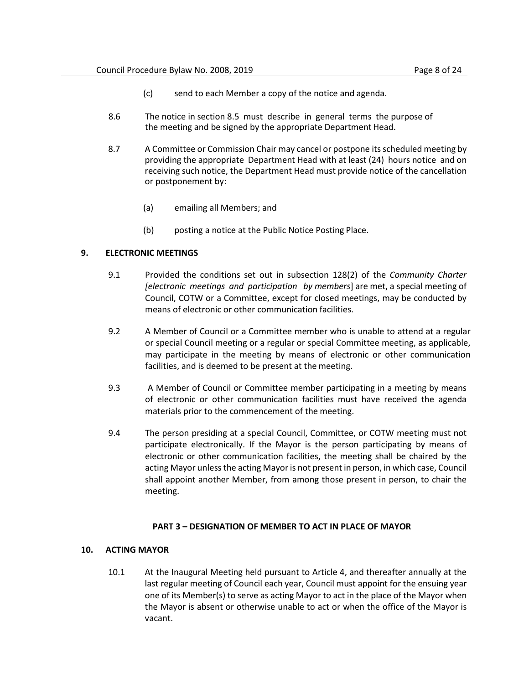- (c) send to each Member a copy of the notice and agenda.
- 8.6 The notice in section [8.5](#page-6-0) must describe in general terms the purpose of the meeting and be signed by the appropriate Department Head.
- 8.7 A Committee or Commission Chair may cancel or postpone its scheduled meeting by providing the appropriate Department Head with at least (24) hours notice and on receiving such notice, the Department Head must provide notice of the cancellation or postponement by:
	- (a) emailing all Members; and
	- (b) posting a notice at the Public Notice Posting Place.

#### **9. ELECTRONIC MEETINGS**

- 9.1 Provided the conditions set out in subsection 128(2) of the *Community Charter [electronic meetings and participation by members*] are met, a special meeting of Council, COTW or a Committee, except for closed meetings, may be conducted by means of electronic or other communication facilities.
- 9.2 A Member of Council or a Committee member who is unable to attend at a regular or special Council meeting or a regular or special Committee meeting, as applicable, may participate in the meeting by means of electronic or other communication facilities, and is deemed to be present at the meeting.
- 9.3 A Member of Council or Committee member participating in a meeting by means of electronic or other communication facilities must have received the agenda materials prior to the commencement of the meeting.
- 9.4 The person presiding at a special Council, Committee, or COTW meeting must not participate electronically. If the Mayor is the person participating by means of electronic or other communication facilities, the meeting shall be chaired by the acting Mayor unless the acting Mayor is not present in person, in which case, Council shall appoint another Member, from among those present in person, to chair the meeting.

#### **PART 3 – DESIGNATION OF MEMBER TO ACT IN PLACE OF MAYOR**

#### <span id="page-7-0"></span>**10. ACTING MAYOR**

10.1 At the Inaugural Meeting held pursuant to Article [4, a](#page-4-0)nd thereafter annually at the last regular meeting of Council each year, Council must appoint for the ensuing year one of its Member(s) to serve as acting Mayor to act in the place of the Mayor when the Mayor is absent or otherwise unable to act or when the office of the Mayor is vacant.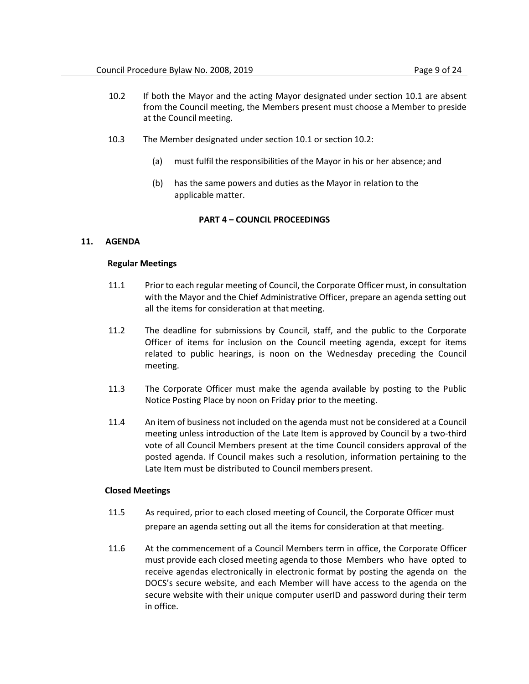- <span id="page-8-0"></span>10.2 If both the Mayor and the acting Mayor designated under section [10.1 a](#page-7-0)re absent from the Council meeting, the Members present must choose a Member to preside at the Council meeting.
- 10.3 The Member designated under sec[tion 10.1 o](#page-7-0)r section [10.2:](#page-8-0)
	- (a) must fulfil the responsibilities of the Mayor in his or her absence; and
	- (b) has the same powers and duties as the Mayor in relation to the applicable matter.

# **PART 4 – COUNCIL PROCEEDINGS**

## **11. AGENDA**

## **Regular Meetings**

- 11.1 Prior to each regular meeting of Council, the Corporate Officer must, in consultation with the Mayor and the Chief Administrative Officer, prepare an agenda setting out all the items for consideration at that meeting.
- 11.2 The deadline for submissions by Council, staff, and the public to the Corporate Officer of items for inclusion on the Council meeting agenda, except for items related to public hearings, is noon on the Wednesday preceding the Council meeting.
- 11.3 The Corporate Officer must make the agenda available by posting to the Public Notice Posting Place by noon on Friday prior to the meeting.
- 11.4 An item of business not included on the agenda must not be considered at a Council meeting unless introduction of the Late Item is approved by Council by a two-third vote of all Council Members present at the time Council considers approval of the posted agenda. If Council makes such a resolution, information pertaining to the Late Item must be distributed to Council members present.

## **Closed Meetings**

- 11.5 As required, prior to each closed meeting of Council, the Corporate Officer must prepare an agenda setting out all the items for consideration at that meeting.
- 11.6 At the commencement of a Council Members term in office, the Corporate Officer must provide each closed meeting agenda to those Members who have opted to receive agendas electronically in electronic format by posting the agenda on the DOCS's secure website, and each Member will have access to the agenda on the secure website with their unique computer userID and password during their term in office.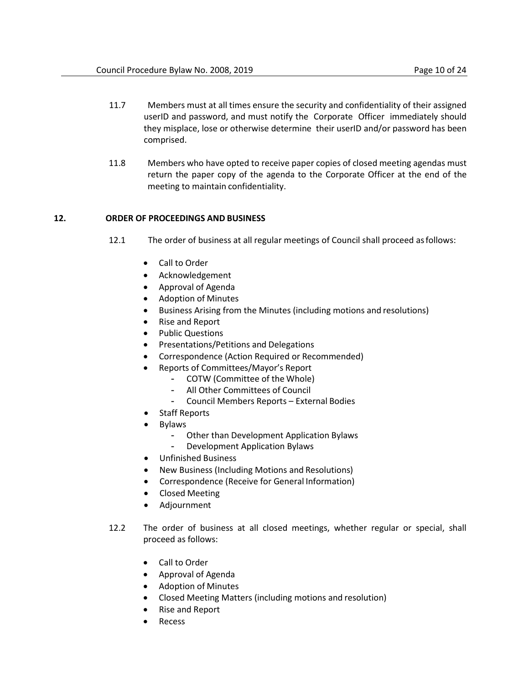- 11.7 Members must at all times ensure the security and confidentiality of their assigned userID and password, and must notify the Corporate Officer immediately should they misplace, lose or otherwise determine their userID and/or password has been comprised.
- 11.8 Members who have opted to receive paper copies of closed meeting agendas must return the paper copy of the agenda to the Corporate Officer at the end of the meeting to maintain confidentiality.

# <span id="page-9-0"></span>**12. ORDER OF PROCEEDINGS AND BUSINESS**

- 12.1 The order of business at all regular meetings of Council shall proceed asfollows:
	- Call to Order
	- Acknowledgement
	- Approval of Agenda
	- Adoption of Minutes
	- Business Arising from the Minutes (including motions and resolutions)
	- Rise and Report
	- Public Questions
	- Presentations/Petitions and Delegations
	- Correspondence (Action Required or Recommended)
	- Reports of Committees/Mayor's Report
		- COTW (Committee of the Whole)
		- All Other Committees of Council
		- Council Members Reports External Bodies
	- Staff Reports
	- **Bylaws** 
		- Other than Development Application Bylaws
		- Development Application Bylaws
	- Unfinished Business
	- New Business (Including Motions and Resolutions)
	- Correspondence (Receive for General Information)
	- Closed Meeting
	- Adjournment
- 12.2 The order of business at all closed meetings, whether regular or special, shall proceed as follows:
	- Call to Order
	- Approval of Agenda
	- Adoption of Minutes
	- Closed Meeting Matters (including motions and resolution)
	- Rise and Report
	- **Recess**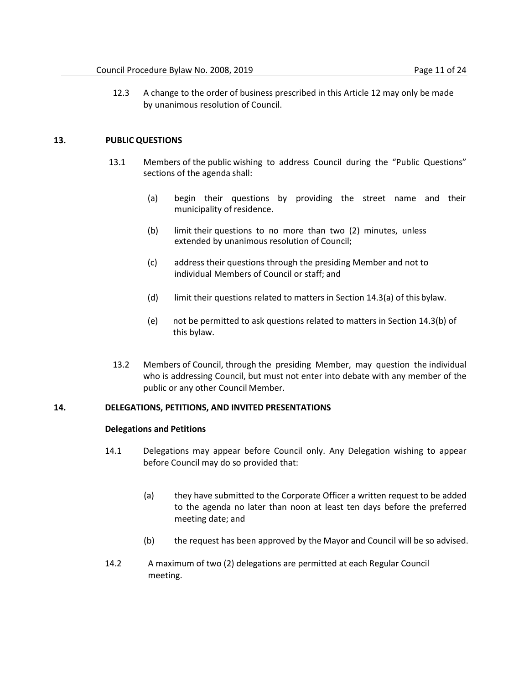12.3 A change to the order of business prescribed in this Articl[e 12 m](#page-9-0)ay only be made by unanimous resolution of Council.

## **13. PUBLIC QUESTIONS**

- 13.1 Members of the public wishing to address Council during the "Public Questions" sections of the agenda shall:
	- (a) begin their questions by providing the street name and their municipality of residence.
	- (b) limit their questions to no more than two (2) minutes, unless extended by unanimous resolution of Council;
	- (c) address their questions through the presiding Member and not to individual Members of Council or staff; and
	- (d) limit their questions related to matters in Section 14.3(a) of this bylaw.
	- (e) not be permitted to ask questions related to matters in Section 14.3(b) of this bylaw.
- 13.2 Members of Council, through the presiding Member, may question the individual who is addressing Council, but must not enter into debate with any member of the public or any other Council Member.

## **14. DELEGATIONS, PETITIONS, AND INVITED PRESENTATIONS**

#### **Delegations and Petitions**

- 14.1 Delegations may appear before Council only. Any Delegation wishing to appear before Council may do so provided that:
	- (a) they have submitted to the Corporate Officer a written request to be added to the agenda no later than noon at least ten days before the preferred meeting date; and
	- (b) the request has been approved by the Mayor and Council will be so advised.
- 14.2 A maximum of two (2) delegations are permitted at each Regular Council meeting.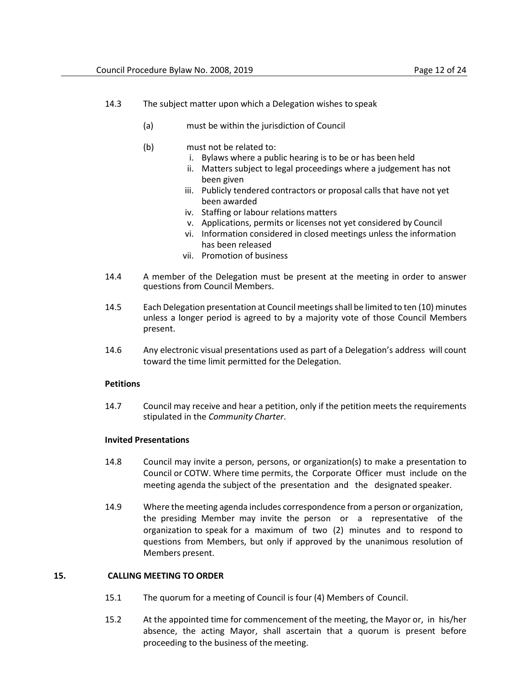- 14.3 The subject matter upon which a Delegation wishes to speak
	- (a) must be within the jurisdiction of Council
	- (b) must not be related to:
		- i. Bylaws where a public hearing is to be or has been held
		- ii. Matters subject to legal proceedings where a judgement has not been given
		- iii. Publicly tendered contractors or proposal calls that have not yet been awarded
		- iv. Staffing or labour relations matters
		- v. Applications, permits or licenses not yet considered by Council
		- vi. Information considered in closed meetings unless the information has been released
		- vii. Promotion of business
- 14.4 A member of the Delegation must be present at the meeting in order to answer questions from Council Members.
- 14.5 Each Delegation presentation at Council meetings shall be limited to ten (10) minutes unless a longer period is agreed to by a majority vote of those Council Members present.
- 14.6 Any electronic visual presentations used as part of a Delegation's address will count toward the time limit permitted for the Delegation.

## **Petitions**

14.7 Council may receive and hear a petition, only if the petition meets the requirements stipulated in the *Community Charter*.

## **Invited Presentations**

- 14.8 Council may invite a person, persons, or organization(s) to make a presentation to Council or COTW. Where time permits, the Corporate Officer must include on the meeting agenda the subject of the presentation and the designated speaker.
- 14.9 Where the meeting agenda includes correspondence from a person or organization, the presiding Member may invite the person or a representative of the organization to speak for a maximum of two (2) minutes and to respond to questions from Members, but only if approved by the unanimous resolution of Members present.

## **15. CALLING MEETING TO ORDER**

- 15.1 The quorum for a meeting of Council is four (4) Members of Council.
- 15.2 At the appointed time for commencement of the meeting, the Mayor or, in his/her absence, the acting Mayor, shall ascertain that a quorum is present before proceeding to the business of the meeting.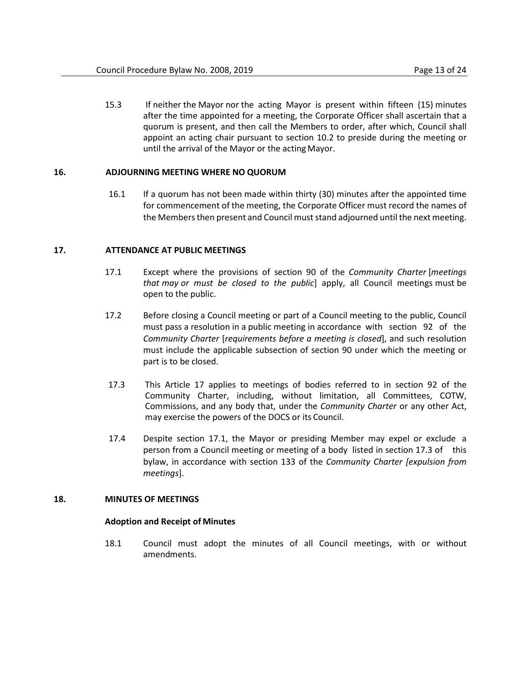15.3 If neither the Mayor nor the acting Mayor is present within fifteen (15) minutes after the time appointed for a meeting, the Corporate Officer shall ascertain that a quorum is present, and then call the Members to order, after which, Council shall appoint an acting chair pursuant to section [10.2](#page-8-0) to preside during the meeting or until the arrival of the Mayor or the actingMayor.

# **16. ADJOURNING MEETING WHERE NO QUORUM**

16.1 If a quorum has not been made within thirty (30) minutes after the appointed time for commencement of the meeting, the Corporate Officer must record the names of the Members then present and Council must stand adjourned until the next meeting.

# <span id="page-12-0"></span>**17. ATTENDANCE AT PUBLIC MEETINGS**

- 17.1 Except where the provisions of section 90 of the *Community Charter* [*meetings that may or must be closed to the public*] apply, all Council meetings must be open to the public.
- 17.2 Before closing a Council meeting or part of a Council meeting to the public, Council must pass a resolution in a public meeting in accordance with section 92 of the *Community Charter* [*requirements before a meeting is closed*], and such resolution must include the applicable subsection of section 90 under which the meeting or part is to be closed.
- <span id="page-12-1"></span>17.3 This Article 17 applies to meetings of bodies referred to in section 92 of the Community Charter, including, without limitation, all Committees, COTW, Commissions, and any body that, under the *Community Charter* or any other Act, may exercise the powers of the DOCS or its Council.
- 17.4 Despite section [17.1,](#page-12-0) the Mayor or presiding Member may expel or exclude a person from a Council meeting or meeting of a body listed in section [17.3](#page-12-1) of this bylaw, in accordance with section 133 of the *Community Charter [expulsion from meetings*].

## **18. MINUTES OF MEETINGS**

## **Adoption and Receipt of Minutes**

18.1 Council must adopt the minutes of all Council meetings, with or without amendments.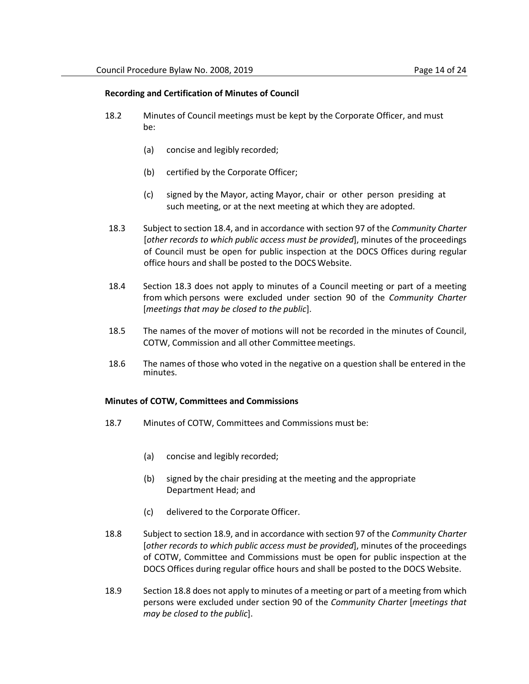#### **Recording and Certification of Minutes of Council**

- 18.2 Minutes of Council meetings must be kept by the Corporate Officer, and must be:
	- (a) concise and legibly recorded;
	- (b) certified by the Corporate Officer;
	- (c) signed by the Mayor, acting Mayor, chair or other person presiding at such meeting, or at the next meeting at which they are adopted.
- <span id="page-13-1"></span>18.3 Subject to sectio[n 18.4,](#page-13-0) and in accordance with section 97 of the *Community Charter*  [*other records to which public access must be provided*], minutes of the proceedings of Council must be open for public inspection at the DOCS Offices during regular office hours and shall be posted to the DOCS Website.
- <span id="page-13-0"></span>18.4 Section [18.3 d](#page-13-1)oes not apply to minutes of a Council meeting or part of a meeting from which persons were excluded under section 90 of the *Community Charter*  [*meetings that may be closed to the public*].
- 18.5 The names of the mover of motions will not be recorded in the minutes of Council, COTW, Commission and all other Committeemeetings.
- 18.6 The names of those who voted in the negative on a question shall be entered in the minutes.

#### **Minutes of COTW, Committees and Commissions**

- 18.7 Minutes of COTW, Committees and Commissions must be:
	- (a) concise and legibly recorded;
	- (b) signed by the chair presiding at the meeting and the appropriate Department Head; and
	- (c) delivered to the Corporate Officer.
- <span id="page-13-3"></span>18.8 Subject to sectio[n 18.9,](#page-13-2) and in accordance with section 97 of the *Community Charter*  [*other records to which public access must be provided*], minutes of the proceedings of COTW, Committee and Commissions must be open for public inspection at the DOCS Offices during regular office hours and shall be posted to the DOCS Website.
- <span id="page-13-2"></span>18.9 Sectio[n 18.8](#page-13-3) does not apply to minutes of a meeting or part of a meeting from which persons were excluded under section 90 of the *Community Charter* [*meetings that may be closed to the public*].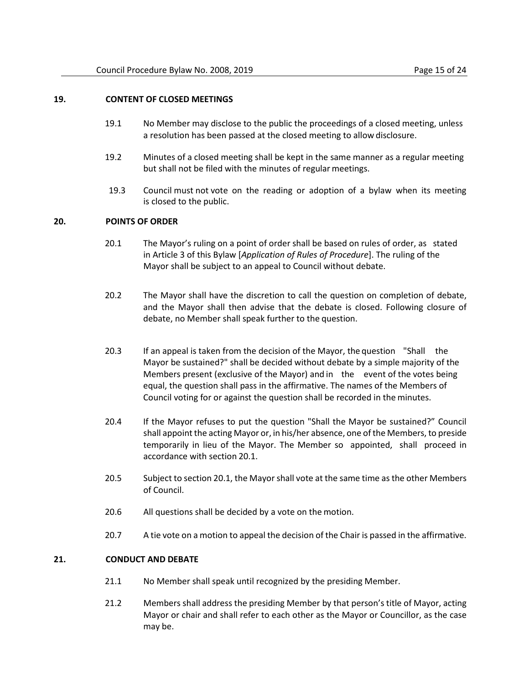# **19. CONTENT OF CLOSED MEETINGS**

- 19.1 No Member may disclose to the public the proceedings of a closed meeting, unless a resolution has been passed at the closed meeting to allow disclosure.
- 19.2 Minutes of a closed meeting shall be kept in the same manner as a regular meeting but shall not be filed with the minutes of regular meetings.
- 19.3 Council must not vote on the reading or adoption of a bylaw when its meeting is closed to the public.

# <span id="page-14-0"></span>**20. POINTS OF ORDER**

- 20.1 The Mayor's ruling on a point of order shall be based on rules of order, as stated in Article 3 of this Bylaw [*Application of Rules of Procedure*]. The ruling of the Mayor shall be subject to an appeal to Council without debate.
- 20.2 The Mayor shall have the discretion to call the question on completion of debate, and the Mayor shall then advise that the debate is closed. Following closure of debate, no Member shall speak further to the question.
- 20.3 If an appeal is taken from the decision of the Mayor, the question "Shall the Mayor be sustained?" shall be decided without debate by a simple majority of the Members present (exclusive of the Mayor) and in the event of the votes being equal, the question shall pass in the affirmative. The names of the Members of Council voting for or against the question shall be recorded in the minutes.
- 20.4 If the Mayor refuses to put the question "Shall the Mayor be sustained?" Council shall appoint the acting Mayor or, in his/her absence, one of the Members, to preside temporarily in lieu of the Mayor. The Member so appointed, shall proceed in accordance with section [20.1.](#page-14-0)
- 20.5 Subject to sectio[n 20.1,](#page-14-0) the Mayor shall vote at the same time as the other Members of Council.
- 20.6 All questions shall be decided by a vote on the motion.
- 20.7 A tie vote on a motion to appeal the decision of the Chair is passed in the affirmative.

# **21. CONDUCT AND DEBATE**

- 21.1 No Member shall speak until recognized by the presiding Member.
- 21.2 Members shall address the presiding Member by that person's title of Mayor, acting Mayor or chair and shall refer to each other as the Mayor or Councillor, as the case may be.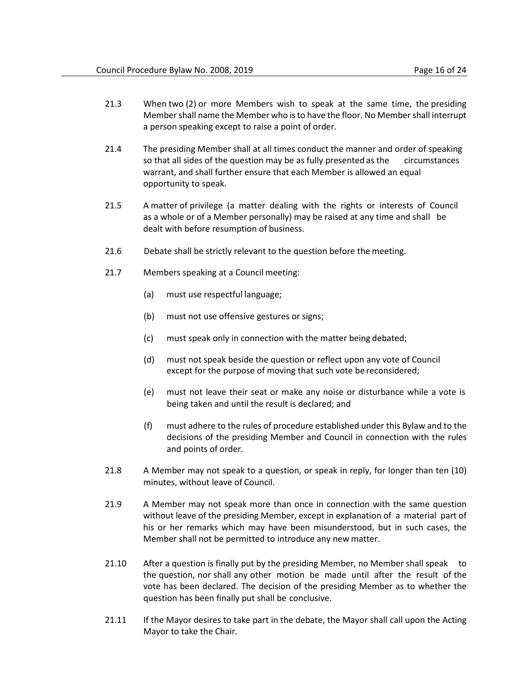- 21.3 When two (2) or more Members wish to speak at the same time, the presiding Member shall name the Member who is to have the floor. No Member shall interrupt a person speaking except to raise a point of order.
- 21.4 The presiding Member shall at all times conduct the manner and order of speaking so that all sides of the question may be as fully presented as the circumstances warrant, and shall further ensure that each Member is allowed an equal opportunity to speak.
- 21.5 A matter of privilege (a matter dealing with the rights or interests of Council as a whole or of a Member personally) may be raised at any time and shall be dealt with before resumption of business.
- 21.6 Debate shall be strictly relevant to the question before the meeting.
- 21.7 Members speaking at a Council meeting:
	- (a) must use respectful language;
	- (b) must not use offensive gestures or signs;
	- (c) must speak only in connection with the matter being debated;
	- (d) must not speak beside the question or reflect upon any vote of Council except for the purpose of moving that such vote be reconsidered;
	- (e) must not leave their seat or make any noise or disturbance while a vote is being taken and until the result is declared; and
	- (f) must adhere to the rules of procedure established under this Bylaw and to the decisions of the presiding Member and Council in connection with the rules and points of order.
- 21.8 A Member may not speak to a question, or speak in reply, for longer than ten (10) minutes, without leave of Council.
- 21.9 A Member may not speak more than once in connection with the same question without leave of the presiding Member, except in explanation of a material part of his or her remarks which may have been misunderstood, but in such cases, the Member shall not be permitted to introduce any new matter.
- 21.10 After a question is finally put by the presiding Member, no Member shall speak to the question, nor shall any other motion be made until after the result of the vote has been declared. The decision of the presiding Member as to whether the question has been finally put shall be conclusive.
- 21.11 If the Mayor desires to take part in the debate, the Mayor shall call upon the Acting Mayor to take the Chair.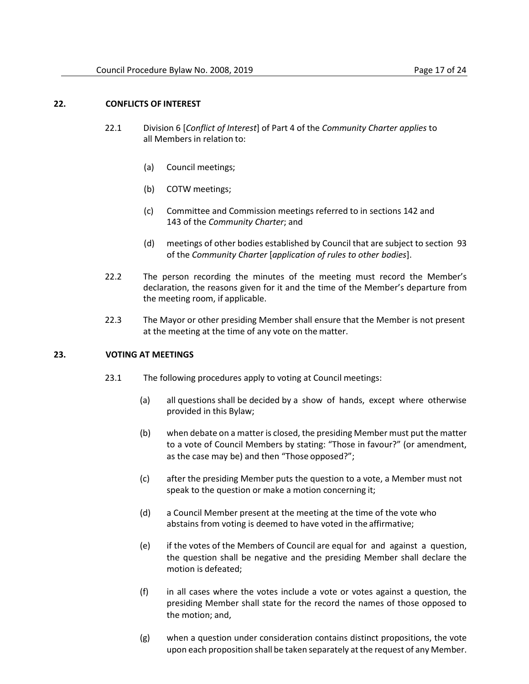- 22.1 Division 6 [*Conflict of Interest*] of Part 4 of the *Community Charter applies* to all Members in relation to:
	- (a) Council meetings;
	- (b) COTW meetings;
	- (c) Committee and Commission meetings referred to in sections 142 and 143 of the *Community Charter*; and
	- (d) meetings of other bodies established by Council that are subject to section 93 of the *Community Charter* [*application of rules to other bodies*].
- 22.2 The person recording the minutes of the meeting must record the Member's declaration, the reasons given for it and the time of the Member's departure from the meeting room, if applicable.
- 22.3 The Mayor or other presiding Member shall ensure that the Member is not present at the meeting at the time of any vote on the matter.

## **23. VOTING AT MEETINGS**

- 23.1 The following procedures apply to voting at Council meetings:
	- (a) all questions shall be decided by a show of hands, except where otherwise provided in this Bylaw;
	- (b) when debate on a matter is closed, the presiding Member must put the matter to a vote of Council Members by stating: "Those in favour?" (or amendment, as the case may be) and then "Those opposed?";
	- (c) after the presiding Member puts the question to a vote, a Member must not speak to the question or make a motion concerning it;
	- (d) a Council Member present at the meeting at the time of the vote who abstains from voting is deemed to have voted in the affirmative;
	- (e) if the votes of the Members of Council are equal for and against a question, the question shall be negative and the presiding Member shall declare the motion is defeated;
	- (f) in all cases where the votes include a vote or votes against a question, the presiding Member shall state for the record the names of those opposed to the motion; and,
	- (g) when a question under consideration contains distinct propositions, the vote upon each proposition shall be taken separately at the request of any Member.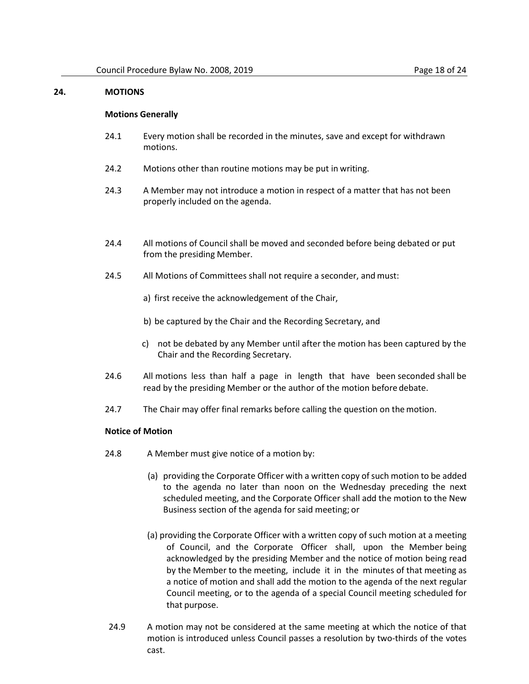# **24. MOTIONS**

#### **Motions Generally**

- 24.1 Every motion shall be recorded in the minutes, save and except for withdrawn motions.
- 24.2 Motions other than routine motions may be put in writing.
- 24.3 A Member may not introduce a motion in respect of a matter that has not been properly included on the agenda.
- 24.4 All motions of Council shall be moved and seconded before being debated or put from the presiding Member.
- 24.5 All Motions of Committees shall not require a seconder, and must:
	- a) first receive the acknowledgement of the Chair,
	- b) be captured by the Chair and the Recording Secretary, and
	- c) not be debated by any Member until after the motion has been captured by the Chair and the Recording Secretary.
- 24.6 All motions less than half a page in length that have been seconded shall be read by the presiding Member or the author of the motion before debate.
- 24.7 The Chair may offer final remarks before calling the question on the motion.

## **Notice of Motion**

- 24.8 A Member must give notice of a motion by:
	- (a) providing the Corporate Officer with a written copy of such motion to be added to the agenda no later than noon on the Wednesday preceding the next scheduled meeting, and the Corporate Officer shall add the motion to the New Business section of the agenda for said meeting; or
	- (a) providing the Corporate Officer with a written copy of such motion at a meeting of Council, and the Corporate Officer shall, upon the Member being acknowledged by the presiding Member and the notice of motion being read by the Member to the meeting, include it in the minutes of that meeting as a notice of motion and shall add the motion to the agenda of the next regular Council meeting, or to the agenda of a special Council meeting scheduled for that purpose.
- 24.9 A motion may not be considered at the same meeting at which the notice of that motion is introduced unless Council passes a resolution by two-thirds of the votes cast.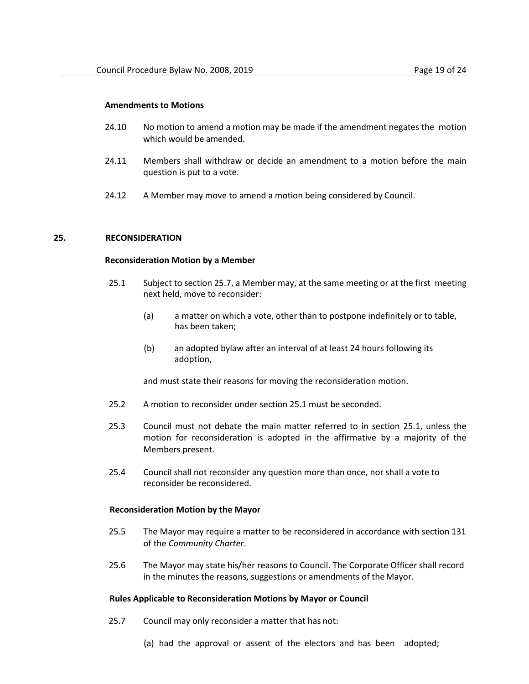- 24.10 No motion to amend a motion may be made if the amendment negates the motion which would be amended.
- 24.11 Members shall withdraw or decide an amendment to a motion before the main question is put to a vote.
- 24.12 A Member may move to amend a motion being considered by Council.

## <span id="page-18-1"></span><span id="page-18-0"></span>**25. RECONSIDERATION**

#### **Reconsideration Motion by a Member**

- 25.1 Subject to section 25.7, a Member may, at the same meeting or at the first meeting next held, move to reconsider:
	- (a) a matter on which a vote, other than to postpone indefinitely or to table, has been taken;
	- (b) an adopted bylaw after an interval of at least 24 hours following its adoption,

and must state their reasons for moving the reconsideration motion.

- 25.2 A motion to reconsider under sectio[n 25.1 m](#page-18-0)ust be seconded.
- 25.3 Council must not debate the main matter referred to in section [25.1,](#page-18-0) unless the motion for reconsideration is adopted in the affirmative by a majority of the Members present.
- 25.4 Council shall not reconsider any question more than once, nor shall a vote to reconsider be reconsidered.

#### **Reconsideration Motion by the Mayor**

- 25.5 The Mayor may require a matter to be reconsidered in accordance with section 131 of the *Community Charter*.
- 25.6 The Mayor may state his/her reasons to Council. The Corporate Officer shall record in the minutes the reasons, suggestions or amendments of the Mayor.

#### **Rules Applicable to Reconsideration Motions by Mayor or Council**

- 25.7 Council may only reconsider a matter that has not:
	- (a) had the approval or assent of the electors and has been adopted;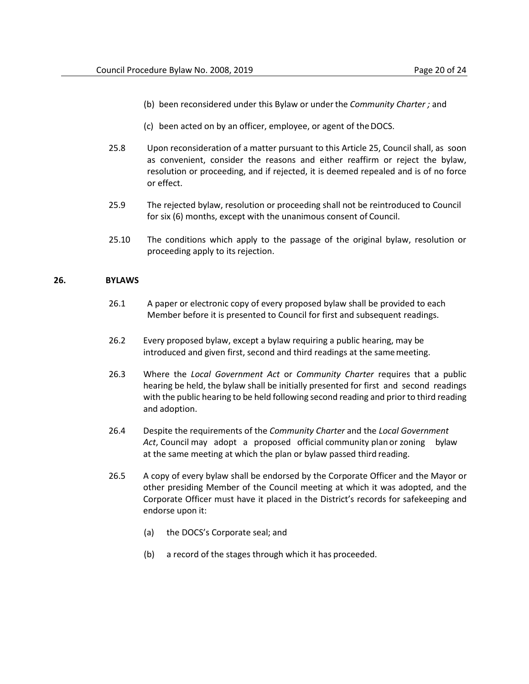- (b) been reconsidered under this Bylaw or underthe *Community Charter ;* and
- (c) been acted on by an officer, employee, or agent of theDOCS.
- 25.8 Upon reconsideration of a matter pursuant to this Article [25,](#page-18-1) Council shall, as soon as convenient, consider the reasons and either reaffirm or reject the bylaw, resolution or proceeding, and if rejected, it is deemed repealed and is of no force or effect.
- 25.9 The rejected bylaw, resolution or proceeding shall not be reintroduced to Council for six (6) months, except with the unanimous consent of Council.
- 25.10 The conditions which apply to the passage of the original bylaw, resolution or proceeding apply to its rejection.

#### **26. BYLAWS**

- 26.1 A paper or electronic copy of every proposed bylaw shall be provided to each Member before it is presented to Council for first and subsequent readings.
- 26.2 Every proposed bylaw, except a bylaw requiring a public hearing, may be introduced and given first, second and third readings at the samemeeting.
- 26.3 Where the *Local Government Act* or *Community Charter* requires that a public hearing be held, the bylaw shall be initially presented for first and second readings with the public hearing to be held following second reading and prior to third reading and adoption.
- 26.4 Despite the requirements of the *Community Charter* and the *Local Government Act*, Council may adopt a proposed official community plan or zoning bylaw at the same meeting at which the plan or bylaw passed third reading.
- 26.5 A copy of every bylaw shall be endorsed by the Corporate Officer and the Mayor or other presiding Member of the Council meeting at which it was adopted, and the Corporate Officer must have it placed in the District's records for safekeeping and endorse upon it:
	- (a) the DOCS's Corporate seal; and
	- (b) a record of the stages through which it has proceeded.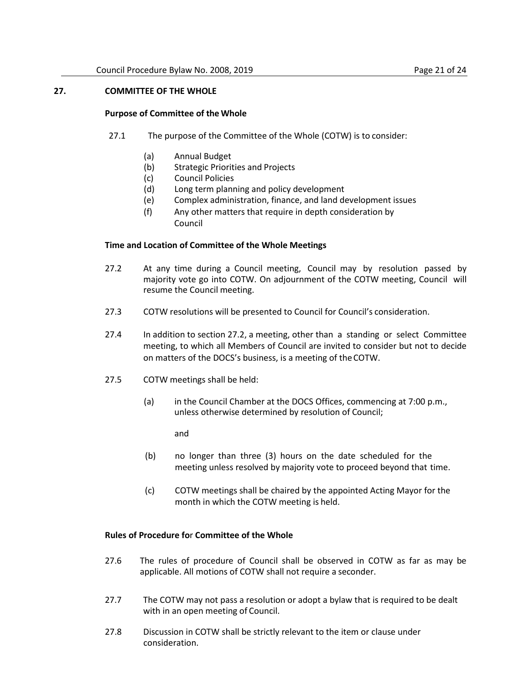# **27. COMMITTEE OF THE WHOLE**

#### **Purpose of Committee of the Whole**

- 27.1 The purpose of the Committee of the Whole (COTW) is to consider:
	- (a) Annual Budget
	- (b) Strategic Priorities and Projects
	- (c) Council Policies
	- (d) Long term planning and policy development
	- (e) Complex administration, finance, and land development issues
	- (f) Any other matters that require in depth consideration by Council

#### **Time and Location of Committee of the Whole Meetings**

- <span id="page-20-0"></span>27.2 At any time during a Council meeting, Council may by resolution passed by majority vote go into COTW. On adjournment of the COTW meeting, Council will resume the Council meeting.
- 27.3 COTW resolutions will be presented to Council for Council's consideration.
- 27.4 In addition to sectio[n 27.2,](#page-20-0) a meeting, other than a standing or select Committee meeting, to which all Members of Council are invited to consider but not to decide on matters of the DOCS's business, is a meeting of theCOTW.
- 27.5 COTW meetings shall be held:
	- (a) in the Council Chamber at the DOCS Offices, commencing at 7:00 p.m., unless otherwise determined by resolution of Council;

and

- (b) no longer than three (3) hours on the date scheduled for the meeting unless resolved by majority vote to proceed beyond that time.
- (c) COTW meetings shall be chaired by the appointed Acting Mayor for the month in which the COTW meeting is held.

#### **Rules of Procedure fo**r **Committee of the Whole**

- 27.6 The rules of procedure of Council shall be observed in COTW as far as may be applicable. All motions of COTW shall not require a seconder.
- 27.7 The COTW may not pass a resolution or adopt a bylaw that is required to be dealt with in an open meeting of Council.
- 27.8 Discussion in COTW shall be strictly relevant to the item or clause under consideration.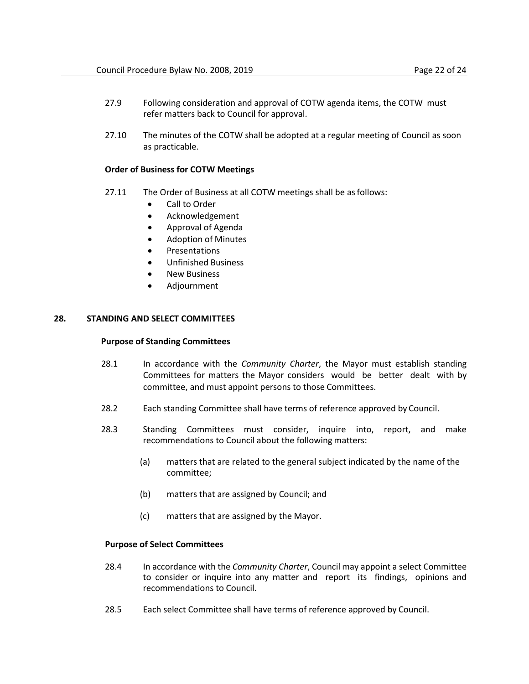- 27.9 Following consideration and approval of COTW agenda items, the COTW must refer matters back to Council for approval.
- 27.10 The minutes of the COTW shall be adopted at a regular meeting of Council as soon as practicable.

## **Order of Business for COTW Meetings**

- 27.11 The Order of Business at all COTW meetings shall be as follows:
	- Call to Order
	- Acknowledgement
	- Approval of Agenda
	- Adoption of Minutes
	- Presentations
	- Unfinished Business
	- New Business
	- Adjournment

# **28. STANDING AND SELECT COMMITTEES**

#### **Purpose of Standing Committees**

- 28.1 In accordance with the *Community Charter*, the Mayor must establish standing Committees for matters the Mayor considers would be better dealt with by committee, and must appoint persons to those Committees.
- 28.2 Each standing Committee shall have terms of reference approved by Council.
- 28.3 Standing Committees must consider, inquire into, report, and make recommendations to Council about the following matters:
	- (a) matters that are related to the general subject indicated by the name of the committee;
	- (b) matters that are assigned by Council; and
	- (c) matters that are assigned by the Mayor.

#### **Purpose of Select Committees**

- 28.4 In accordance with the *Community Charter*, Council may appoint a select Committee to consider or inquire into any matter and report its findings, opinions and recommendations to Council.
- 28.5 Each select Committee shall have terms of reference approved by Council.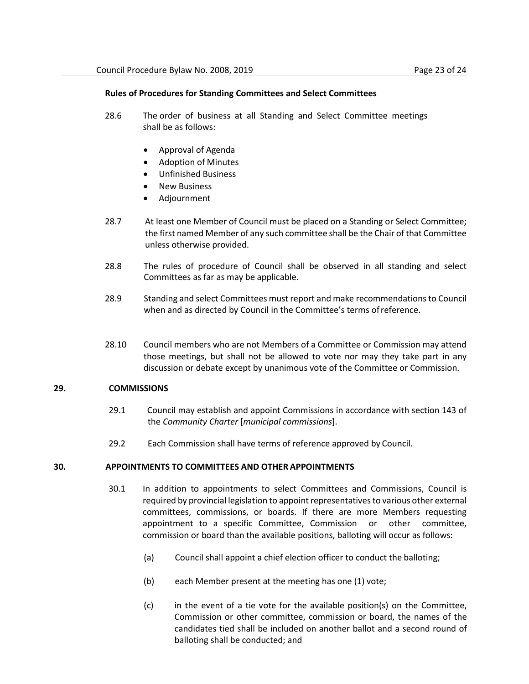#### **Rules of Procedures for Standing Committees and Select Committees**

- 28.6 The order of business at all Standing and Select Committee meetings shall be as follows:
	- Approval of Agenda
	- Adoption of Minutes
	- Unfinished Business
	- **New Business**
	- Adjournment
- 28.7 At least one Member of Council must be placed on a Standing or Select Committee; the first named Member of any such committee shall be the Chair of that Committee unless otherwise provided.
- 28.8 The rules of procedure of Council shall be observed in all standing and select Committees as far as may be applicable.
- 28.9 Standing and select Committees must report and make recommendations to Council when and as directed by Council in the Committee's terms ofreference.
- 28.10 Council members who are not Members of a Committee or Commission may attend those meetings, but shall not be allowed to vote nor may they take part in any discussion or debate except by unanimous vote of the Committee or Commission.

## **29. COMMISSIONS**

- 29.1 Council may establish and appoint Commissions in accordance with section 143 of the *Community Charter* [*municipal commissions*].
- 29.2 Each Commission shall have terms of reference approved by Council.

## **30. APPOINTMENTS TO COMMITTEES AND OTHER APPOINTMENTS**

- 30.1 In addition to appointments to select Committees and Commissions, Council is required by provincial legislation to appoint representatives to various other external committees, commissions, or boards. If there are more Members requesting appointment to a specific Committee, Commission or other committee, commission or board than the available positions, balloting will occur as follows:
	- (a) Council shall appoint a chief election officer to conduct the balloting;
	- (b) each Member present at the meeting has one (1) vote;
	- $(c)$  in the event of a tie vote for the available position(s) on the Committee, Commission or other committee, commission or board, the names of the candidates tied shall be included on another ballot and a second round of balloting shall be conducted; and